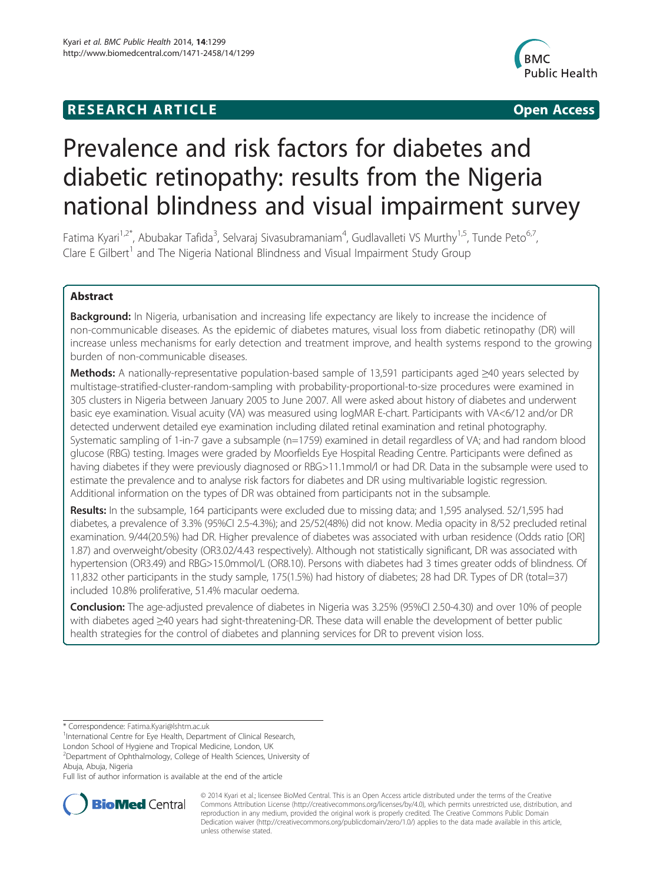## **RESEARCH ARTICLE Example 2014 12:30 The SEAR CHA R TIGGS**



# Prevalence and risk factors for diabetes and diabetic retinopathy: results from the Nigeria national blindness and visual impairment survey

Fatima Kyari<sup>1,2\*</sup>, Abubakar Tafida<sup>3</sup>, Selvaraj Sivasubramaniam<sup>4</sup>, Gudlavalleti VS Murthy<sup>1,5</sup>, Tunde Peto<sup>6,7</sup>,  $C$ lare E Gilbert<sup>1</sup> and The Nigeria National Blindness and Visual Impairment Study Group

## Abstract

Background: In Nigeria, urbanisation and increasing life expectancy are likely to increase the incidence of non-communicable diseases. As the epidemic of diabetes matures, visual loss from diabetic retinopathy (DR) will increase unless mechanisms for early detection and treatment improve, and health systems respond to the growing burden of non-communicable diseases.

Methods: A nationally-representative population-based sample of 13,591 participants aged ≥40 years selected by multistage-stratified-cluster-random-sampling with probability-proportional-to-size procedures were examined in 305 clusters in Nigeria between January 2005 to June 2007. All were asked about history of diabetes and underwent basic eye examination. Visual acuity (VA) was measured using logMAR E-chart. Participants with VA<6/12 and/or DR detected underwent detailed eye examination including dilated retinal examination and retinal photography. Systematic sampling of 1-in-7 gave a subsample (n=1759) examined in detail regardless of VA; and had random blood glucose (RBG) testing. Images were graded by Moorfields Eye Hospital Reading Centre. Participants were defined as having diabetes if they were previously diagnosed or RBG>11.1mmol/l or had DR. Data in the subsample were used to estimate the prevalence and to analyse risk factors for diabetes and DR using multivariable logistic regression. Additional information on the types of DR was obtained from participants not in the subsample.

Results: In the subsample, 164 participants were excluded due to missing data; and 1,595 analysed. 52/1,595 had diabetes, a prevalence of 3.3% (95%CI 2.5-4.3%); and 25/52(48%) did not know. Media opacity in 8/52 precluded retinal examination. 9/44(20.5%) had DR. Higher prevalence of diabetes was associated with urban residence (Odds ratio [OR] 1.87) and overweight/obesity (OR3.02/4.43 respectively). Although not statistically significant, DR was associated with hypertension (OR3.49) and RBG>15.0mmol/L (OR8.10). Persons with diabetes had 3 times greater odds of blindness. Of 11,832 other participants in the study sample, 175(1.5%) had history of diabetes; 28 had DR. Types of DR (total=37) included 10.8% proliferative, 51.4% macular oedema.

Conclusion: The age-adjusted prevalence of diabetes in Nigeria was 3.25% (95%CI 2.50-4.30) and over 10% of people with diabetes aged ≥40 years had sight-threatening-DR. These data will enable the development of better public health strategies for the control of diabetes and planning services for DR to prevent vision loss.

<sup>1</sup>International Centre for Eye Health, Department of Clinical Research,

London School of Hygiene and Tropical Medicine, London, UK

2 Department of Ophthalmology, College of Health Sciences, University of Abuja, Abuja, Nigeria

Full list of author information is available at the end of the article



© 2014 Kyari et al.; licensee BioMed Central. This is an Open Access article distributed under the terms of the Creative Commons Attribution License [\(http://creativecommons.org/licenses/by/4.0\)](http://creativecommons.org/licenses/by/4.0), which permits unrestricted use, distribution, and reproduction in any medium, provided the original work is properly credited. The Creative Commons Public Domain Dedication waiver [\(http://creativecommons.org/publicdomain/zero/1.0/](http://creativecommons.org/publicdomain/zero/1.0/)) applies to the data made available in this article, unless otherwise stated.

<sup>\*</sup> Correspondence: [Fatima.Kyari@lshtm.ac.uk](mailto:Fatima.Kyari@lshtm.ac.uk) <sup>1</sup>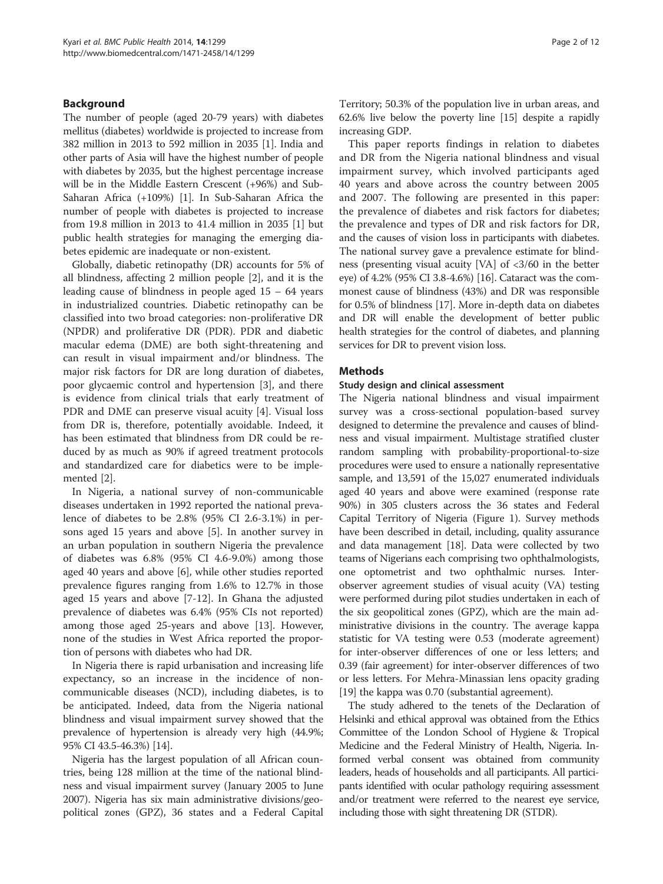## Background

The number of people (aged 20-79 years) with diabetes mellitus (diabetes) worldwide is projected to increase from 382 million in 2013 to 592 million in 2035 [\[1](#page-9-0)]. India and other parts of Asia will have the highest number of people with diabetes by 2035, but the highest percentage increase will be in the Middle Eastern Crescent (+96%) and Sub-Saharan Africa (+109%) [\[1](#page-9-0)]. In Sub-Saharan Africa the number of people with diabetes is projected to increase from 19.8 million in 2013 to 41.4 million in 2035 [[1\]](#page-9-0) but public health strategies for managing the emerging diabetes epidemic are inadequate or non-existent.

Globally, diabetic retinopathy (DR) accounts for 5% of all blindness, affecting 2 million people [\[2](#page-9-0)], and it is the leading cause of blindness in people aged 15 – 64 years in industrialized countries. Diabetic retinopathy can be classified into two broad categories: non-proliferative DR (NPDR) and proliferative DR (PDR). PDR and diabetic macular edema (DME) are both sight-threatening and can result in visual impairment and/or blindness. The major risk factors for DR are long duration of diabetes, poor glycaemic control and hypertension [\[3](#page-9-0)], and there is evidence from clinical trials that early treatment of PDR and DME can preserve visual acuity [\[4](#page-10-0)]. Visual loss from DR is, therefore, potentially avoidable. Indeed, it has been estimated that blindness from DR could be reduced by as much as 90% if agreed treatment protocols and standardized care for diabetics were to be implemented [[2](#page-9-0)].

In Nigeria, a national survey of non-communicable diseases undertaken in 1992 reported the national prevalence of diabetes to be 2.8% (95% CI 2.6-3.1%) in persons aged 15 years and above [[5\]](#page-10-0). In another survey in an urban population in southern Nigeria the prevalence of diabetes was 6.8% (95% CI 4.6-9.0%) among those aged 40 years and above [\[6](#page-10-0)], while other studies reported prevalence figures ranging from 1.6% to 12.7% in those aged 15 years and above [\[7](#page-10-0)-[12](#page-10-0)]. In Ghana the adjusted prevalence of diabetes was 6.4% (95% CIs not reported) among those aged 25-years and above [\[13\]](#page-10-0). However, none of the studies in West Africa reported the proportion of persons with diabetes who had DR.

In Nigeria there is rapid urbanisation and increasing life expectancy, so an increase in the incidence of noncommunicable diseases (NCD), including diabetes, is to be anticipated. Indeed, data from the Nigeria national blindness and visual impairment survey showed that the prevalence of hypertension is already very high (44.9%; 95% CI 43.5-46.3%) [\[14\]](#page-10-0).

Nigeria has the largest population of all African countries, being 128 million at the time of the national blindness and visual impairment survey (January 2005 to June 2007). Nigeria has six main administrative divisions/geopolitical zones (GPZ), 36 states and a Federal Capital

Territory; 50.3% of the population live in urban areas, and 62.6% live below the poverty line [\[15](#page-10-0)] despite a rapidly increasing GDP.

This paper reports findings in relation to diabetes and DR from the Nigeria national blindness and visual impairment survey, which involved participants aged 40 years and above across the country between 2005 and 2007. The following are presented in this paper: the prevalence of diabetes and risk factors for diabetes; the prevalence and types of DR and risk factors for DR, and the causes of vision loss in participants with diabetes. The national survey gave a prevalence estimate for blindness (presenting visual acuity [VA] of <3/60 in the better eye) of 4.2% (95% CI 3.8-4.6%) [\[16](#page-10-0)]. Cataract was the commonest cause of blindness (43%) and DR was responsible for 0.5% of blindness [\[17\]](#page-10-0). More in-depth data on diabetes and DR will enable the development of better public health strategies for the control of diabetes, and planning services for DR to prevent vision loss.

## Methods

#### Study design and clinical assessment

The Nigeria national blindness and visual impairment survey was a cross-sectional population-based survey designed to determine the prevalence and causes of blindness and visual impairment. Multistage stratified cluster random sampling with probability-proportional-to-size procedures were used to ensure a nationally representative sample, and 13,591 of the 15,027 enumerated individuals aged 40 years and above were examined (response rate 90%) in 305 clusters across the 36 states and Federal Capital Territory of Nigeria (Figure [1\)](#page-2-0). Survey methods have been described in detail, including, quality assurance and data management [\[18\]](#page-10-0). Data were collected by two teams of Nigerians each comprising two ophthalmologists, one optometrist and two ophthalmic nurses. Interobserver agreement studies of visual acuity (VA) testing were performed during pilot studies undertaken in each of the six geopolitical zones (GPZ), which are the main administrative divisions in the country. The average kappa statistic for VA testing were 0.53 (moderate agreement) for inter-observer differences of one or less letters; and 0.39 (fair agreement) for inter-observer differences of two or less letters. For Mehra-Minassian lens opacity grading [[19](#page-10-0)] the kappa was 0.70 (substantial agreement).

The study adhered to the tenets of the Declaration of Helsinki and ethical approval was obtained from the Ethics Committee of the London School of Hygiene & Tropical Medicine and the Federal Ministry of Health, Nigeria. Informed verbal consent was obtained from community leaders, heads of households and all participants. All participants identified with ocular pathology requiring assessment and/or treatment were referred to the nearest eye service, including those with sight threatening DR (STDR).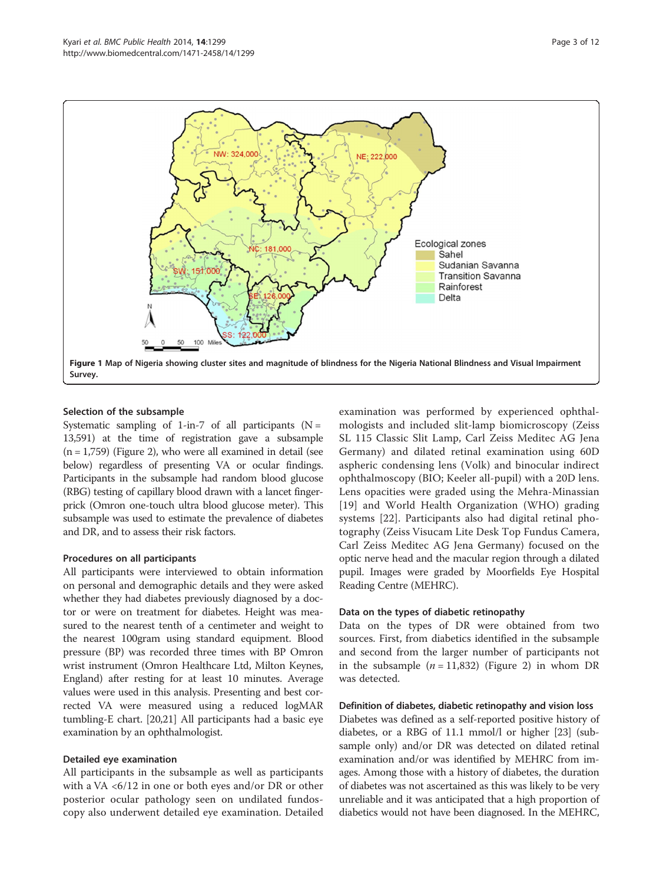<span id="page-2-0"></span>

#### Selection of the subsample

Systematic sampling of 1-in-7 of all participants ( $N =$ 13,591) at the time of registration gave a subsample  $(n = 1,759)$  (Figure [2](#page-3-0)), who were all examined in detail (see below) regardless of presenting VA or ocular findings. Participants in the subsample had random blood glucose (RBG) testing of capillary blood drawn with a lancet fingerprick (Omron one-touch ultra blood glucose meter). This subsample was used to estimate the prevalence of diabetes and DR, and to assess their risk factors.

#### Procedures on all participants

All participants were interviewed to obtain information on personal and demographic details and they were asked whether they had diabetes previously diagnosed by a doctor or were on treatment for diabetes. Height was measured to the nearest tenth of a centimeter and weight to the nearest 100gram using standard equipment. Blood pressure (BP) was recorded three times with BP Omron wrist instrument (Omron Healthcare Ltd, Milton Keynes, England) after resting for at least 10 minutes. Average values were used in this analysis. Presenting and best corrected VA were measured using a reduced logMAR tumbling-E chart. [[20,21\]](#page-10-0) All participants had a basic eye examination by an ophthalmologist.

#### Detailed eye examination

All participants in the subsample as well as participants with a VA  $\langle 6/12$  in one or both eyes and/or DR or other posterior ocular pathology seen on undilated fundoscopy also underwent detailed eye examination. Detailed examination was performed by experienced ophthalmologists and included slit-lamp biomicroscopy (Zeiss SL 115 Classic Slit Lamp, Carl Zeiss Meditec AG Jena Germany) and dilated retinal examination using 60D aspheric condensing lens (Volk) and binocular indirect ophthalmoscopy (BIO; Keeler all-pupil) with a 20D lens. Lens opacities were graded using the Mehra-Minassian [[19](#page-10-0)] and World Health Organization (WHO) grading systems [\[22](#page-10-0)]. Participants also had digital retinal photography (Zeiss Visucam Lite Desk Top Fundus Camera, Carl Zeiss Meditec AG Jena Germany) focused on the optic nerve head and the macular region through a dilated pupil. Images were graded by Moorfields Eye Hospital Reading Centre (MEHRC).

#### Data on the types of diabetic retinopathy

Data on the types of DR were obtained from two sources. First, from diabetics identified in the subsample and second from the larger number of participants not in the subsample  $(n = 11,832)$  (Figure [2](#page-3-0)) in whom DR was detected.

#### Definition of diabetes, diabetic retinopathy and vision loss

Diabetes was defined as a self-reported positive history of diabetes, or a RBG of 11.1 mmol/l or higher [\[23\]](#page-10-0) (subsample only) and/or DR was detected on dilated retinal examination and/or was identified by MEHRC from images. Among those with a history of diabetes, the duration of diabetes was not ascertained as this was likely to be very unreliable and it was anticipated that a high proportion of diabetics would not have been diagnosed. In the MEHRC,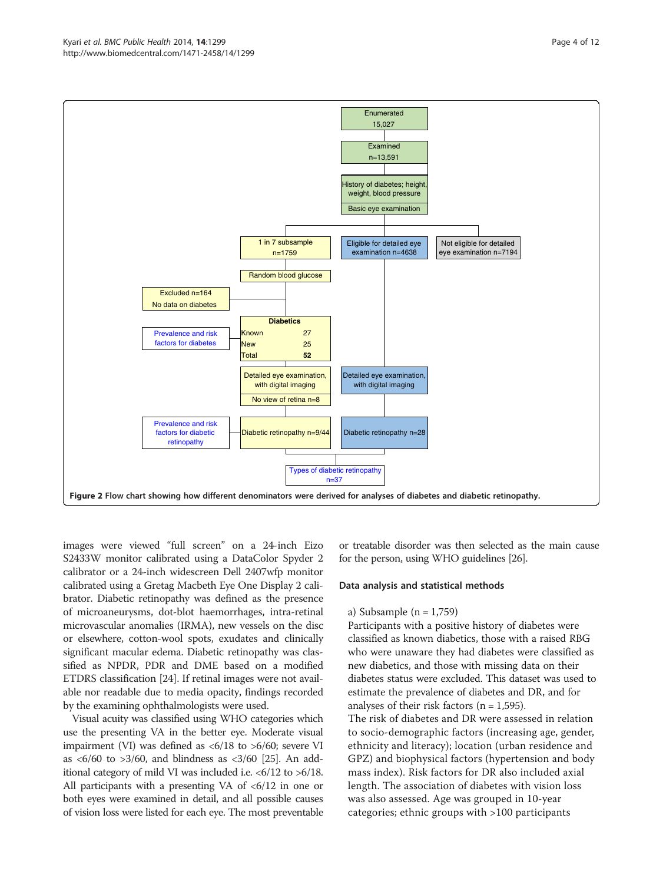images were viewed "full screen" on a 24-inch Eizo S2433W monitor calibrated using a DataColor Spyder 2 calibrator or a 24-inch widescreen Dell 2407wfp monitor calibrated using a Gretag Macbeth Eye One Display 2 calibrator. Diabetic retinopathy was defined as the presence of microaneurysms, dot-blot haemorrhages, intra-retinal microvascular anomalies (IRMA), new vessels on the disc or elsewhere, cotton-wool spots, exudates and clinically significant macular edema. Diabetic retinopathy was classified as NPDR, PDR and DME based on a modified ETDRS classification [\[24\]](#page-10-0). If retinal images were not available nor readable due to media opacity, findings recorded

Visual acuity was classified using WHO categories which use the presenting VA in the better eye. Moderate visual impairment (VI) was defined as <6/18 to >6/60; severe VI as  $\langle 6/60 \rangle$  to  $>3/60$ , and blindness as  $\langle 3/60 \rangle$  [\[25](#page-10-0)]. An additional category of mild VI was included i.e. <6/12 to >6/18. All participants with a presenting VA of  $\langle 6/12 \rangle$  in one or both eyes were examined in detail, and all possible causes of vision loss were listed for each eye. The most preventable

by the examining ophthalmologists were used.

or treatable disorder was then selected as the main cause for the person, using WHO guidelines [[26](#page-10-0)].

#### Data analysis and statistical methods

#### a) Subsample  $(n = 1,759)$

Participants with a positive history of diabetes were classified as known diabetics, those with a raised RBG who were unaware they had diabetes were classified as new diabetics, and those with missing data on their diabetes status were excluded. This dataset was used to estimate the prevalence of diabetes and DR, and for analyses of their risk factors ( $n = 1,595$ ). The risk of diabetes and DR were assessed in relation

to socio-demographic factors (increasing age, gender, ethnicity and literacy); location (urban residence and GPZ) and biophysical factors (hypertension and body mass index). Risk factors for DR also included axial length. The association of diabetes with vision loss was also assessed. Age was grouped in 10-year categories; ethnic groups with >100 participants

<span id="page-3-0"></span>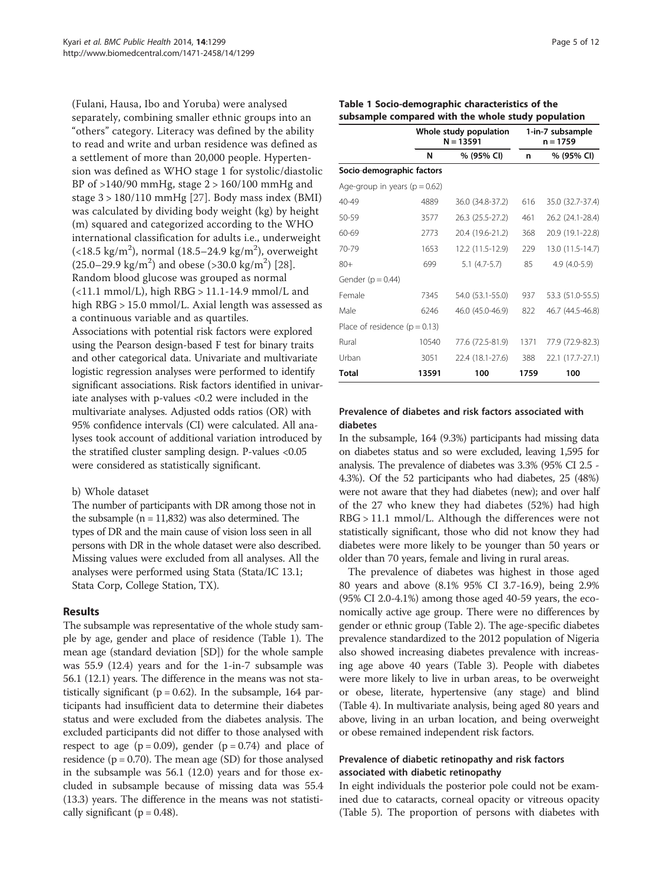(Fulani, Hausa, Ibo and Yoruba) were analysed separately, combining smaller ethnic groups into an "others" category. Literacy was defined by the ability to read and write and urban residence was defined as a settlement of more than 20,000 people. Hypertension was defined as WHO stage 1 for systolic/diastolic BP of >140/90 mmHg, stage 2 > 160/100 mmHg and stage 3 > 180/110 mmHg [[27\]](#page-10-0). Body mass index (BMI) was calculated by dividing body weight (kg) by height (m) squared and categorized according to the WHO international classification for adults i.e., underweight (<18.5 kg/m<sup>2</sup>), normal (18.5–24.9 kg/m<sup>2</sup>), overweight  $(25.0-29.9 \text{ kg/m}^2)$  and obese (>30.0 kg/m<sup>2</sup>) [[28\]](#page-10-0). Random blood glucose was grouped as normal  $\left($ <11.1 mmol/L), high RBG > 11.1-14.9 mmol/L and high RBG > 15.0 mmol/L. Axial length was assessed as a continuous variable and as quartiles. Associations with potential risk factors were explored using the Pearson design-based F test for binary traits and other categorical data. Univariate and multivariate logistic regression analyses were performed to identify significant associations. Risk factors identified in univariate analyses with p-values <0.2 were included in the multivariate analyses. Adjusted odds ratios (OR) with 95% confidence intervals (CI) were calculated. All analyses took account of additional variation introduced by the stratified cluster sampling design. P-values <0.05 were considered as statistically significant.

## b) Whole dataset

The number of participants with DR among those not in the subsample  $(n = 11,832)$  was also determined. The types of DR and the main cause of vision loss seen in all persons with DR in the whole dataset were also described. Missing values were excluded from all analyses. All the analyses were performed using Stata (Stata/IC 13.1; Stata Corp, College Station, TX).

#### Results

The subsample was representative of the whole study sample by age, gender and place of residence (Table 1). The mean age (standard deviation [SD]) for the whole sample was 55.9 (12.4) years and for the 1-in-7 subsample was 56.1 (12.1) years. The difference in the means was not statistically significant ( $p = 0.62$ ). In the subsample, 164 participants had insufficient data to determine their diabetes status and were excluded from the diabetes analysis. The excluded participants did not differ to those analysed with respect to age ( $p = 0.09$ ), gender ( $p = 0.74$ ) and place of residence ( $p = 0.70$ ). The mean age (SD) for those analysed in the subsample was 56.1 (12.0) years and for those excluded in subsample because of missing data was 55.4 (13.3) years. The difference in the means was not statistically significant ( $p = 0.48$ ).

| Table 1 Socio-demographic characteristics of the   |
|----------------------------------------------------|
| subsample compared with the whole study population |

|                                   |       | Whole study population<br>$N = 13591$ | 1-in-7 subsample<br>$n = 1759$ |                  |  |
|-----------------------------------|-------|---------------------------------------|--------------------------------|------------------|--|
|                                   | N     | % (95% CI)                            | n                              | % (95% CI)       |  |
| Socio-demographic factors         |       |                                       |                                |                  |  |
| Age-group in years ( $p = 0.62$ ) |       |                                       |                                |                  |  |
| 40-49                             | 4889  | 36.0 (34.8-37.2)                      | 616                            | 35.0 (32.7-37.4) |  |
| 50-59                             | 3577  | 26.3 (25.5-27.2)                      | 461                            | 26.2 (24.1-28.4) |  |
| 60-69                             | 2773  | 20.4 (19.6-21.2)                      | 368                            | 20.9 (19.1-22.8) |  |
| 70-79                             | 1653  | 12.2 (11.5-12.9)                      | 229                            | 13.0 (11.5-14.7) |  |
| $80+$                             | 699   | $5.1$ $(4.7-5.7)$                     | 85                             | 4.9 (4.0-5.9)    |  |
| Gender ( $p = 0.44$ )             |       |                                       |                                |                  |  |
| Female                            | 7345  | 54.0 (53.1-55.0)                      | 937                            | 53.3 (51.0-55.5) |  |
| Male                              | 6246  | 46.0 (45.0-46.9)                      | 822                            | 46.7 (44.5-46.8) |  |
| Place of residence ( $p = 0.13$ ) |       |                                       |                                |                  |  |
| Rural                             | 10540 | 77.6 (72.5-81.9)                      | 1371                           | 77.9 (72.9-82.3) |  |
| Urban                             | 3051  | 22.4 (18.1-27.6)                      | 388                            | 22.1 (17.7-27.1) |  |
| <b>Total</b>                      | 13591 | 100                                   | 1759                           | 100              |  |

## Prevalence of diabetes and risk factors associated with diabetes

In the subsample, 164 (9.3%) participants had missing data on diabetes status and so were excluded, leaving 1,595 for analysis. The prevalence of diabetes was 3.3% (95% CI 2.5 - 4.3%). Of the 52 participants who had diabetes, 25 (48%) were not aware that they had diabetes (new); and over half of the 27 who knew they had diabetes (52%) had high RBG > 11.1 mmol/L. Although the differences were not statistically significant, those who did not know they had diabetes were more likely to be younger than 50 years or older than 70 years, female and living in rural areas.

The prevalence of diabetes was highest in those aged 80 years and above (8.1% 95% CI 3.7-16.9), being 2.9% (95% CI 2.0-4.1%) among those aged 40-59 years, the economically active age group. There were no differences by gender or ethnic group (Table [2](#page-5-0)). The age-specific diabetes prevalence standardized to the 2012 population of Nigeria also showed increasing diabetes prevalence with increasing age above 40 years (Table [3](#page-5-0)). People with diabetes were more likely to live in urban areas, to be overweight or obese, literate, hypertensive (any stage) and blind (Table [4](#page-6-0)). In multivariate analysis, being aged 80 years and above, living in an urban location, and being overweight or obese remained independent risk factors.

## Prevalence of diabetic retinopathy and risk factors associated with diabetic retinopathy

In eight individuals the posterior pole could not be examined due to cataracts, corneal opacity or vitreous opacity (Table [5\)](#page-7-0). The proportion of persons with diabetes with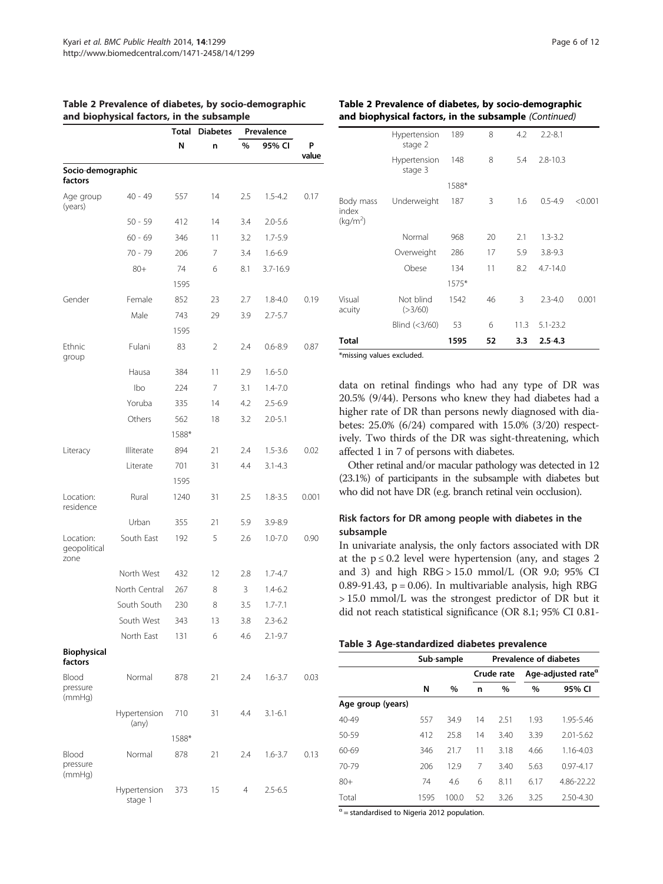|                                   | and piophysical lactors, in the subsample | Total | <b>Diabetes</b> |     | Prevalence  |       |
|-----------------------------------|-------------------------------------------|-------|-----------------|-----|-------------|-------|
|                                   |                                           | N     | n               | %   | 95% CI      | P     |
|                                   |                                           |       |                 |     |             | value |
| Socio-demographic<br>factors      |                                           |       |                 |     |             |       |
| Age group<br>(years)              | $40 - 49$                                 | 557   | 14              | 2.5 | $1.5 - 4.2$ | 0.17  |
|                                   | $50 - 59$                                 | 412   | 14              | 3.4 | $2.0 - 5.6$ |       |
|                                   | $60 - 69$                                 | 346   | 11              | 3.2 | $1.7 - 5.9$ |       |
|                                   | 70 - 79                                   | 206   | 7               | 3.4 | $1.6 - 6.9$ |       |
|                                   | $80 +$                                    | 74    | 6               | 8.1 | 3.7-16.9    |       |
|                                   |                                           | 1595  |                 |     |             |       |
| Gender                            | Female                                    | 852   | 23              | 2.7 | $1.8 - 4.0$ | 0.19  |
|                                   | Male                                      | 743   | 29              | 3.9 | $2.7 - 5.7$ |       |
|                                   |                                           | 1595  |                 |     |             |       |
| Ethnic<br>group                   | Fulani                                    | 83    | $\overline{2}$  | 2.4 | $0.6 - 8.9$ | 0.87  |
|                                   | Hausa                                     | 384   | 11              | 2.9 | $1.6 - 5.0$ |       |
|                                   | Ibo                                       | 224   | 7               | 3.1 | $1.4 - 7.0$ |       |
|                                   | Yoruba                                    | 335   | 14              | 4.2 | $2.5 - 6.9$ |       |
|                                   | Others                                    | 562   | 18              | 3.2 | $2.0 - 5.1$ |       |
|                                   |                                           | 1588* |                 |     |             |       |
| Literacy                          | Illiterate                                | 894   | 21              | 2.4 | $1.5 - 3.6$ | 0.02  |
|                                   | Literate                                  | 701   | 31              | 4.4 | $3.1 - 4.3$ |       |
|                                   |                                           | 1595  |                 |     |             |       |
| Location:<br>residence            | Rural                                     | 1240  | 31              | 2.5 | $1.8 - 3.5$ | 0.001 |
|                                   | Urban                                     | 355   | 21              | 5.9 | 3.9-8.9     |       |
| Location:<br>geopolitical<br>zone | South East                                | 192   | 5               | 2.6 | $1.0 - 7.0$ | 0.90  |
|                                   | North West                                | 432   | 12              | 2.8 | $1.7 - 4.7$ |       |
|                                   | North Central                             | 267   | 8               | 3   | $1.4 - 6.2$ |       |
|                                   | South South                               | 230   | 8               | 3.5 | $1.7 - 7.1$ |       |
|                                   | South West                                | 343   | 13              | 3.8 | $2.3 - 6.2$ |       |
|                                   | North East                                | 131   | 6               | 4.6 | $2.1 - 9.7$ |       |
| <b>Biophysical</b><br>factors     |                                           |       |                 |     |             |       |
| Blood<br>pressure<br>(mmHg)       | Normal                                    | 878   | 21              | 2.4 | $1.6 - 3.7$ | 0.03  |
|                                   | Hypertension<br>(any)                     | 710   | 31              | 4.4 | $3.1 - 6.1$ |       |
|                                   |                                           | 1588* |                 |     |             |       |
| Blood<br>pressure<br>(mmHg)       | Normal                                    | 878   | 21              | 2.4 | $1.6 - 3.7$ | 0.13  |
|                                   | Hypertension<br>stage 1                   | 373   | 15              | 4   | $2.5 - 6.5$ |       |

#### <span id="page-5-0"></span>Table 2 Prevalence of diabetes, by socio-demographic and biophysical factors, in the subsample

## Table 2 Prevalence of diabetes, by socio-demographic and biophysical factors, in the subsample (Continued)

| Total                                      |                         | 1595  | 52 | 3.3  | $2.5 - 4.3$  |         |
|--------------------------------------------|-------------------------|-------|----|------|--------------|---------|
|                                            | Blind (<3/60)           | 53    | 6  | 11.3 | $5.1 - 23.2$ |         |
| Visual<br>acuity                           | Not blind<br>(>3/60)    | 1542  | 46 | 3    | $2.3 - 4.0$  | 0.001   |
|                                            |                         | 1575* |    |      |              |         |
|                                            | Obese                   | 134   | 11 | 8.2  | $4.7 - 14.0$ |         |
|                                            | Overweight              | 286   | 17 | 5.9  | $3.8 - 9.3$  |         |
|                                            | Normal                  | 968   | 20 | 2.1  | $1.3 - 3.2$  |         |
| Body mass<br>index<br>(kq/m <sup>2</sup> ) | Underweight             | 187   | 3  | 1.6  | $0.5 - 4.9$  | < 0.001 |
|                                            |                         | 1588* |    |      |              |         |
|                                            | Hypertension<br>stage 3 | 148   | 8  | 5.4  | $2.8 - 10.3$ |         |
|                                            | Hypertension<br>stage 2 | 189   | 8  | 4.2  | $2.2 - 8.1$  |         |

\*missing values excluded.

data on retinal findings who had any type of DR was 20.5% (9/44). Persons who knew they had diabetes had a higher rate of DR than persons newly diagnosed with diabetes: 25.0% (6/24) compared with 15.0% (3/20) respectively. Two thirds of the DR was sight-threatening, which affected 1 in 7 of persons with diabetes.

Other retinal and/or macular pathology was detected in 12 (23.1%) of participants in the subsample with diabetes but who did not have DR (e.g. branch retinal vein occlusion).

## Risk factors for DR among people with diabetes in the subsample

In univariate analysis, the only factors associated with DR at the  $p \le 0.2$  level were hypertension (any, and stages 2 and 3) and high RBG > 15.0 mmol/L (OR 9.0; 95% CI 0.89-91.43,  $p = 0.06$ ). In multivariable analysis, high RBG > 15.0 mmol/L was the strongest predictor of DR but it did not reach statistical significance (OR 8.1; 95% CI 0.81-

|  |  | Table 3 Age-standardized diabetes prevalence |  |  |  |  |
|--|--|----------------------------------------------|--|--|--|--|
|--|--|----------------------------------------------|--|--|--|--|

|                   |      | Sub-sample | <b>Prevalence of diabetes</b> |      |                                |               |
|-------------------|------|------------|-------------------------------|------|--------------------------------|---------------|
|                   |      |            | Crude rate                    |      | Age-adjusted rate <sup>a</sup> |               |
|                   | N    | $\%$       | n                             | $\%$ | $\%$                           | 95% CI        |
| Age group (years) |      |            |                               |      |                                |               |
| 40-49             | 557  | 34.9       | 14                            | 2.51 | 1.93                           | 1.95-5.46     |
| 50-59             | 412  | 25.8       | 14                            | 3.40 | 3.39                           | $2.01 - 5.62$ |
| 60-69             | 346  | 21.7       | 11                            | 3.18 | 4.66                           | 1.16-4.03     |
| 70-79             | 206  | 12.9       | 7                             | 3.40 | 5.63                           | $0.97 - 4.17$ |
| $80+$             | 74   | 4.6        | 6                             | 8.11 | 6.17                           | 4.86-22.22    |
| Total             | 1595 | 100.0      | 52                            | 3.26 | 3.25                           | 2.50-4.30     |

 $a$  = standardised to Nigeria 2012 population.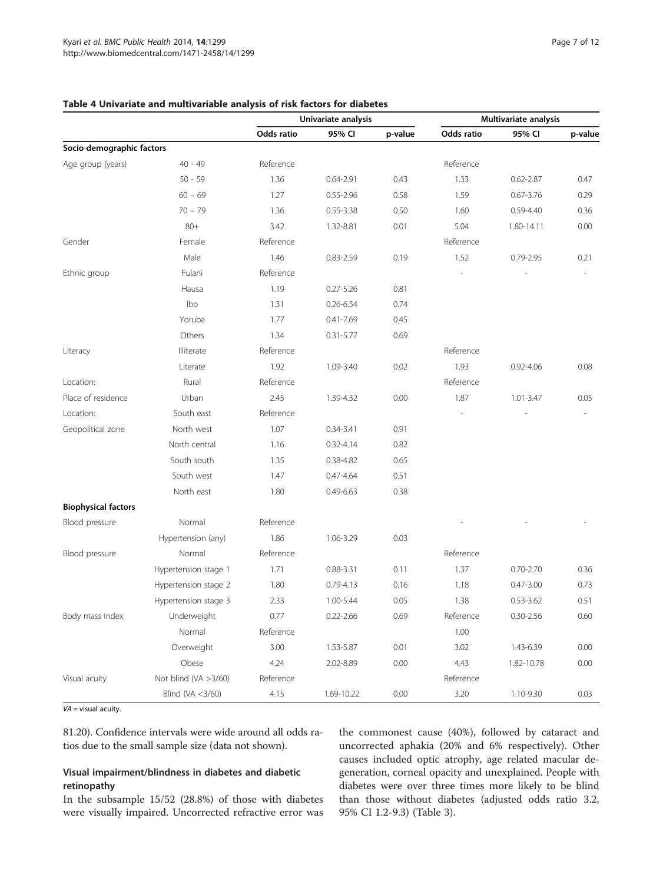|                            |                      | Univariate analysis |               |         | Multivariate analysis |               |         |
|----------------------------|----------------------|---------------------|---------------|---------|-----------------------|---------------|---------|
|                            |                      | Odds ratio          | 95% CI        | p-value | Odds ratio            | 95% CI        | p-value |
| Socio-demographic factors  |                      |                     |               |         |                       |               |         |
| Age group (years)          | $40 - 49$            | Reference           |               |         | Reference             |               |         |
|                            | $50 - 59$            | 1.36                | $0.64 - 2.91$ | 0.43    | 1.33                  | $0.62 - 2.87$ | 0.47    |
|                            | $60 - 69$            | 1.27                | $0.55 - 2.96$ | 0.58    | 1.59                  | $0.67 - 3.76$ | 0.29    |
|                            | $70 - 79$            | 1.36                | $0.55 - 3.38$ | 0.50    | 1.60                  | $0.59 - 4.40$ | 0.36    |
|                            | $80+$                | 3.42                | 1.32-8.81     | 0.01    | 5.04                  | 1.80-14.11    | 0.00    |
| Gender                     | Female               | Reference           |               |         | Reference             |               |         |
|                            | Male                 | 1.46                | $0.83 - 2.59$ | 0.19    | 1.52                  | $0.79 - 2.95$ | 0.21    |
| Ethnic group               | Fulani               | Reference           |               |         |                       |               |         |
|                            | Hausa                | 1.19                | $0.27 - 5.26$ | 0.81    |                       |               |         |
|                            | Ibo                  | 1.31                | $0.26 - 6.54$ | 0.74    |                       |               |         |
|                            | Yoruba               | 1.77                | $0.41 - 7.69$ | 0.45    |                       |               |         |
|                            | Others               | 1.34                | $0.31 - 5.77$ | 0.69    |                       |               |         |
| Literacy                   | Illiterate           | Reference           |               |         | Reference             |               |         |
|                            | Literate             | 1.92                | 1.09-3.40     | 0.02    | 1.93                  | $0.92 - 4.06$ | 0.08    |
| Location:                  | Rural                | Reference           |               |         | Reference             |               |         |
| Place of residence         | Urban                | 2.45                | 1.39-4.32     | 0.00    | 1.87                  | $1.01 - 3.47$ | 0.05    |
| Location:                  | South east           | Reference           |               |         |                       |               |         |
| Geopolitical zone          | North west           | 1.07                | $0.34 - 3.41$ | 0.91    |                       |               |         |
|                            | North central        | 1.16                | $0.32 - 4.14$ | 0.82    |                       |               |         |
|                            | South south          | 1.35                | 0.38-4.82     | 0.65    |                       |               |         |
|                            | South west           | 1.47                | $0.47 - 4.64$ | 0.51    |                       |               |         |
|                            | North east           | 1.80                | $0.49 - 6.63$ | 0.38    |                       |               |         |
| <b>Biophysical factors</b> |                      |                     |               |         |                       |               |         |
| Blood pressure             | Normal               | Reference           |               |         |                       |               |         |
|                            | Hypertension (any)   | 1.86                | 1.06-3.29     | 0.03    |                       |               |         |
| Blood pressure             | Normal               | Reference           |               |         | Reference             |               |         |
|                            | Hypertension stage 1 | 1.71                | 0.88-3.31     | 0.11    | 1.37                  | $0.70 - 2.70$ | 0.36    |
|                            | Hypertension stage 2 | 1.80                | $0.79 - 4.13$ | 0.16    | 1.18                  | $0.47 - 3.00$ | 0.73    |
|                            | Hypertension stage 3 | 2.33                | 1.00-5.44     | 0.05    | 1.38                  | $0.53 - 3.62$ | 0.51    |
| Body mass index            | Underweight          | 0.77                | $0.22 - 2.66$ | 0.69    | Reference             | $0.30 - 2.56$ | 0.60    |
|                            | Normal               | Reference           |               |         | 1.00                  |               |         |
|                            | Overweight           | 3.00                | 1.53-5.87     | 0.01    | 3.02                  | 1.43-6.39     | 0.00    |
|                            | Obese                | 4.24                | 2.02-8.89     | 0.00    | 4.43                  | 1.82-10.78    | 0.00    |
| Visual acuity              | Not blind (VA >3/60) | Reference           |               |         | Reference             |               |         |
|                            | Blind (VA <3/60)     | 4.15                | 1.69-10.22    | 0.00    | 3.20                  | 1.10-9.30     | 0.03    |

#### <span id="page-6-0"></span>Table 4 Univariate and multivariable analysis of risk factors for diabetes

 $VA =$  visual acuity.

81.20). Confidence intervals were wide around all odds ratios due to the small sample size (data not shown).

## Visual impairment/blindness in diabetes and diabetic retinopathy

In the subsample 15/52 (28.8%) of those with diabetes were visually impaired. Uncorrected refractive error was

the commonest cause (40%), followed by cataract and uncorrected aphakia (20% and 6% respectively). Other causes included optic atrophy, age related macular degeneration, corneal opacity and unexplained. People with diabetes were over three times more likely to be blind than those without diabetes (adjusted odds ratio 3.2, 95% CI 1.2-9.3) (Table [3](#page-5-0)).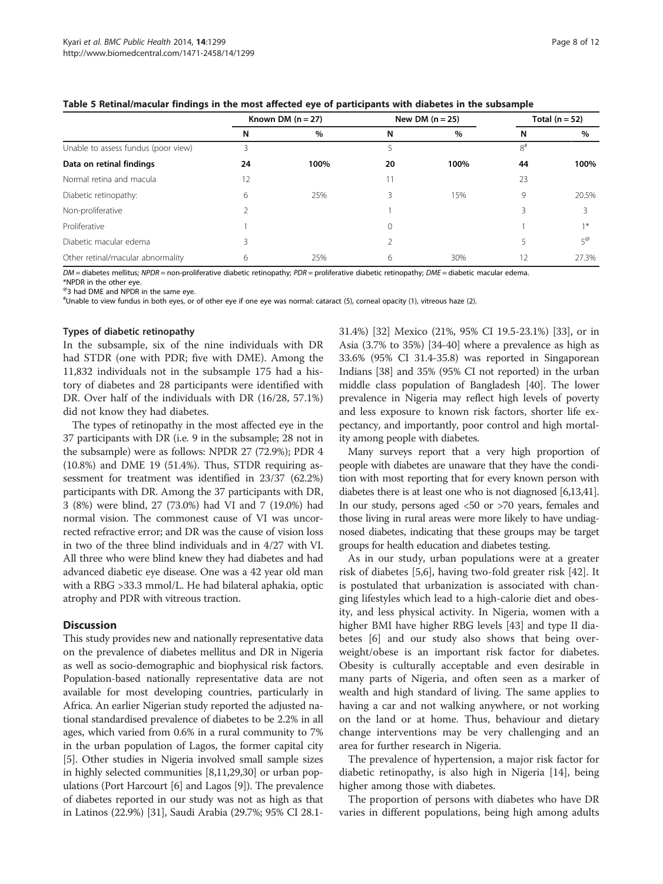|                                     | Known DM $(n = 27)$ |      | New DM $(n = 25)$ |      | Total $(n = 52)$ |            |
|-------------------------------------|---------------------|------|-------------------|------|------------------|------------|
|                                     | N                   | $\%$ | N                 | $\%$ | N                | %          |
| Unable to assess fundus (poor view) | 3                   |      |                   |      | $8^{\#}$         |            |
| Data on retinal findings            | 24                  | 100% | 20                | 100% | 44               | 100%       |
| Normal retina and macula            | 12                  |      | 11                |      | 23               |            |
| Diabetic retinopathy:               | 6                   | 25%  | 3                 | 15%  | 9                | 20.5%      |
| Non-proliferative                   |                     |      |                   |      |                  |            |
| Proliferative                       |                     |      | $\Omega$          |      |                  | $1*$       |
| Diabetic macular edema              |                     |      |                   |      |                  | $5^\omega$ |
| Other retinal/macular abnormality   | 6                   | 25%  | 6                 | 30%  | 12               | 27.3%      |

<span id="page-7-0"></span>Table 5 Retinal/macular findings in the most affected eye of participants with diabetes in the subsample

 $DM =$  diabetes mellitus; NPDR = non-proliferative diabetic retinopathy; PDR = proliferative diabetic retinopathy; DME = diabetic macular edema.

\*NPDR in the other eye.

<sup>@</sup>3 had DME and NPDR in the same eye.

# Unable to view fundus in both eyes, or of other eye if one eye was normal: cataract (5), corneal opacity (1), vitreous haze (2).

#### Types of diabetic retinopathy

In the subsample, six of the nine individuals with DR had STDR (one with PDR; five with DME). Among the 11,832 individuals not in the subsample 175 had a history of diabetes and 28 participants were identified with DR. Over half of the individuals with DR (16/28, 57.1%) did not know they had diabetes.

The types of retinopathy in the most affected eye in the 37 participants with DR (i.e. 9 in the subsample; 28 not in the subsample) were as follows: NPDR 27 (72.9%); PDR 4 (10.8%) and DME 19 (51.4%). Thus, STDR requiring assessment for treatment was identified in 23/37 (62.2%) participants with DR. Among the 37 participants with DR, 3 (8%) were blind, 27 (73.0%) had VI and 7 (19.0%) had normal vision. The commonest cause of VI was uncorrected refractive error; and DR was the cause of vision loss in two of the three blind individuals and in 4/27 with VI. All three who were blind knew they had diabetes and had advanced diabetic eye disease. One was a 42 year old man with a RBG >33.3 mmol/L. He had bilateral aphakia, optic atrophy and PDR with vitreous traction.

## **Discussion**

This study provides new and nationally representative data on the prevalence of diabetes mellitus and DR in Nigeria as well as socio-demographic and biophysical risk factors. Population-based nationally representative data are not available for most developing countries, particularly in Africa. An earlier Nigerian study reported the adjusted national standardised prevalence of diabetes to be 2.2% in all ages, which varied from 0.6% in a rural community to 7% in the urban population of Lagos, the former capital city [[5\]](#page-10-0). Other studies in Nigeria involved small sample sizes in highly selected communities [[8](#page-10-0),[11,29,30\]](#page-10-0) or urban populations (Port Harcourt [\[6](#page-10-0)] and Lagos [[9](#page-10-0)]). The prevalence of diabetes reported in our study was not as high as that in Latinos (22.9%) [\[31\]](#page-10-0), Saudi Arabia (29.7%; 95% CI 28.131.4%) [[32\]](#page-10-0) Mexico (21%, 95% CI 19.5-23.1%) [[33](#page-10-0)], or in Asia (3.7% to 35%) [[34](#page-10-0)-[40\]](#page-10-0) where a prevalence as high as 33.6% (95% CI 31.4-35.8) was reported in Singaporean Indians [[38](#page-10-0)] and 35% (95% CI not reported) in the urban middle class population of Bangladesh [[40](#page-10-0)]. The lower prevalence in Nigeria may reflect high levels of poverty and less exposure to known risk factors, shorter life expectancy, and importantly, poor control and high mortality among people with diabetes.

Many surveys report that a very high proportion of people with diabetes are unaware that they have the condition with most reporting that for every known person with diabetes there is at least one who is not diagnosed [\[6,13,41](#page-10-0)]. In our study, persons aged <50 or >70 years, females and those living in rural areas were more likely to have undiagnosed diabetes, indicating that these groups may be target groups for health education and diabetes testing.

As in our study, urban populations were at a greater risk of diabetes [\[5,6](#page-10-0)], having two-fold greater risk [[42\]](#page-10-0). It is postulated that urbanization is associated with changing lifestyles which lead to a high-calorie diet and obesity, and less physical activity. In Nigeria, women with a higher BMI have higher RBG levels [[43\]](#page-10-0) and type II diabetes [\[6](#page-10-0)] and our study also shows that being overweight/obese is an important risk factor for diabetes. Obesity is culturally acceptable and even desirable in many parts of Nigeria, and often seen as a marker of wealth and high standard of living. The same applies to having a car and not walking anywhere, or not working on the land or at home. Thus, behaviour and dietary change interventions may be very challenging and an area for further research in Nigeria.

The prevalence of hypertension, a major risk factor for diabetic retinopathy, is also high in Nigeria [[14\]](#page-10-0), being higher among those with diabetes.

The proportion of persons with diabetes who have DR varies in different populations, being high among adults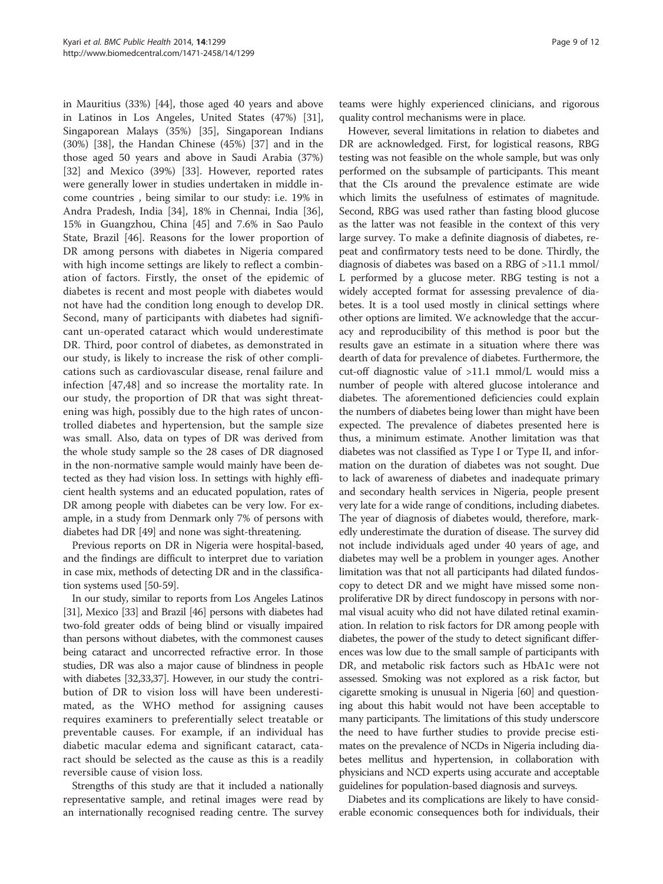in Mauritius (33%) [\[44](#page-10-0)], those aged 40 years and above in Latinos in Los Angeles, United States (47%) [\[31](#page-10-0)], Singaporean Malays (35%) [[35\]](#page-10-0), Singaporean Indians (30%) [\[38](#page-10-0)], the Handan Chinese (45%) [\[37](#page-10-0)] and in the those aged 50 years and above in Saudi Arabia (37%) [[32\]](#page-10-0) and Mexico (39%) [[33](#page-10-0)]. However, reported rates were generally lower in studies undertaken in middle income countries , being similar to our study: i.e. 19% in Andra Pradesh, India [[34\]](#page-10-0), 18% in Chennai, India [\[36](#page-10-0)], 15% in Guangzhou, China [\[45\]](#page-10-0) and 7.6% in Sao Paulo State, Brazil [[46\]](#page-10-0). Reasons for the lower proportion of DR among persons with diabetes in Nigeria compared with high income settings are likely to reflect a combination of factors. Firstly, the onset of the epidemic of diabetes is recent and most people with diabetes would not have had the condition long enough to develop DR. Second, many of participants with diabetes had significant un-operated cataract which would underestimate DR. Third, poor control of diabetes, as demonstrated in our study, is likely to increase the risk of other complications such as cardiovascular disease, renal failure and infection [[47,48\]](#page-11-0) and so increase the mortality rate. In our study, the proportion of DR that was sight threatening was high, possibly due to the high rates of uncontrolled diabetes and hypertension, but the sample size was small. Also, data on types of DR was derived from the whole study sample so the 28 cases of DR diagnosed in the non-normative sample would mainly have been detected as they had vision loss. In settings with highly efficient health systems and an educated population, rates of DR among people with diabetes can be very low. For example, in a study from Denmark only 7% of persons with diabetes had DR [[49](#page-11-0)] and none was sight-threatening.

Previous reports on DR in Nigeria were hospital-based, and the findings are difficult to interpret due to variation in case mix, methods of detecting DR and in the classification systems used [[50-59\]](#page-11-0).

In our study, similar to reports from Los Angeles Latinos [[31](#page-10-0)], Mexico [\[33\]](#page-10-0) and Brazil [\[46](#page-10-0)] persons with diabetes had two-fold greater odds of being blind or visually impaired than persons without diabetes, with the commonest causes being cataract and uncorrected refractive error. In those studies, DR was also a major cause of blindness in people with diabetes [[32,33,37\]](#page-10-0). However, in our study the contribution of DR to vision loss will have been underestimated, as the WHO method for assigning causes requires examiners to preferentially select treatable or preventable causes. For example, if an individual has diabetic macular edema and significant cataract, cataract should be selected as the cause as this is a readily reversible cause of vision loss.

Strengths of this study are that it included a nationally representative sample, and retinal images were read by an internationally recognised reading centre. The survey

teams were highly experienced clinicians, and rigorous quality control mechanisms were in place.

However, several limitations in relation to diabetes and DR are acknowledged. First, for logistical reasons, RBG testing was not feasible on the whole sample, but was only performed on the subsample of participants. This meant that the CIs around the prevalence estimate are wide which limits the usefulness of estimates of magnitude. Second, RBG was used rather than fasting blood glucose as the latter was not feasible in the context of this very large survey. To make a definite diagnosis of diabetes, repeat and confirmatory tests need to be done. Thirdly, the diagnosis of diabetes was based on a RBG of >11.1 mmol/ L performed by a glucose meter. RBG testing is not a widely accepted format for assessing prevalence of diabetes. It is a tool used mostly in clinical settings where other options are limited. We acknowledge that the accuracy and reproducibility of this method is poor but the results gave an estimate in a situation where there was dearth of data for prevalence of diabetes. Furthermore, the cut-off diagnostic value of >11.1 mmol/L would miss a number of people with altered glucose intolerance and diabetes. The aforementioned deficiencies could explain the numbers of diabetes being lower than might have been expected. The prevalence of diabetes presented here is thus, a minimum estimate. Another limitation was that diabetes was not classified as Type I or Type II, and information on the duration of diabetes was not sought. Due to lack of awareness of diabetes and inadequate primary and secondary health services in Nigeria, people present very late for a wide range of conditions, including diabetes. The year of diagnosis of diabetes would, therefore, markedly underestimate the duration of disease. The survey did not include individuals aged under 40 years of age, and diabetes may well be a problem in younger ages. Another limitation was that not all participants had dilated fundoscopy to detect DR and we might have missed some nonproliferative DR by direct fundoscopy in persons with normal visual acuity who did not have dilated retinal examination. In relation to risk factors for DR among people with diabetes, the power of the study to detect significant differences was low due to the small sample of participants with DR, and metabolic risk factors such as HbA1c were not assessed. Smoking was not explored as a risk factor, but cigarette smoking is unusual in Nigeria [[60](#page-11-0)] and questioning about this habit would not have been acceptable to many participants. The limitations of this study underscore the need to have further studies to provide precise estimates on the prevalence of NCDs in Nigeria including diabetes mellitus and hypertension, in collaboration with physicians and NCD experts using accurate and acceptable guidelines for population-based diagnosis and surveys.

Diabetes and its complications are likely to have considerable economic consequences both for individuals, their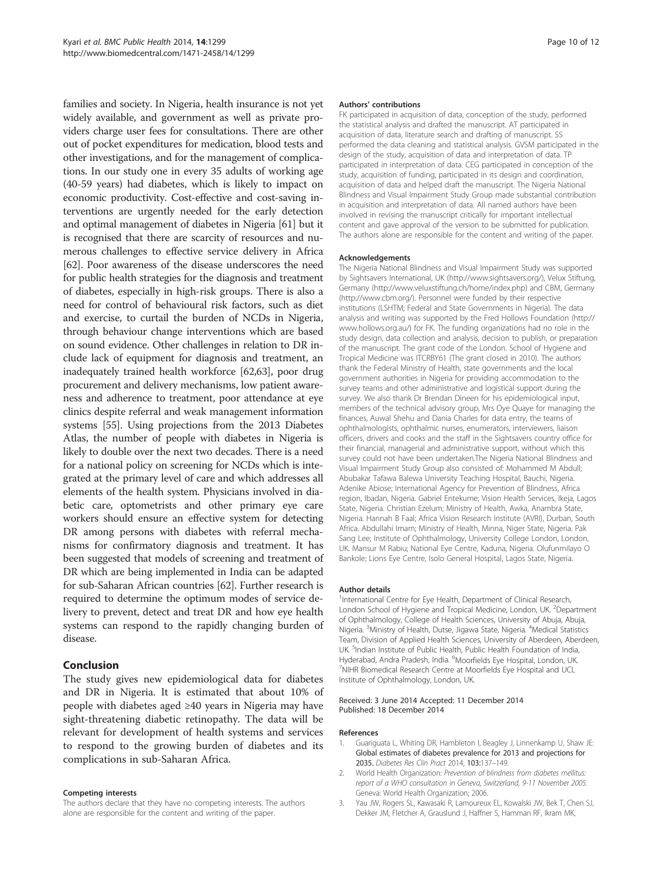<span id="page-9-0"></span>families and society. In Nigeria, health insurance is not yet widely available, and government as well as private providers charge user fees for consultations. There are other out of pocket expenditures for medication, blood tests and other investigations, and for the management of complications. In our study one in every 35 adults of working age (40-59 years) had diabetes, which is likely to impact on economic productivity. Cost-effective and cost-saving interventions are urgently needed for the early detection and optimal management of diabetes in Nigeria [\[61\]](#page-11-0) but it is recognised that there are scarcity of resources and numerous challenges to effective service delivery in Africa [[62](#page-11-0)]. Poor awareness of the disease underscores the need for public health strategies for the diagnosis and treatment of diabetes, especially in high-risk groups. There is also a need for control of behavioural risk factors, such as diet and exercise, to curtail the burden of NCDs in Nigeria, through behaviour change interventions which are based on sound evidence. Other challenges in relation to DR include lack of equipment for diagnosis and treatment, an inadequately trained health workforce [[62](#page-11-0),[63](#page-11-0)], poor drug procurement and delivery mechanisms, low patient awareness and adherence to treatment, poor attendance at eye clinics despite referral and weak management information systems [\[55\]](#page-11-0). Using projections from the 2013 Diabetes Atlas, the number of people with diabetes in Nigeria is likely to double over the next two decades. There is a need for a national policy on screening for NCDs which is integrated at the primary level of care and which addresses all elements of the health system. Physicians involved in diabetic care, optometrists and other primary eye care workers should ensure an effective system for detecting DR among persons with diabetes with referral mechanisms for confirmatory diagnosis and treatment. It has been suggested that models of screening and treatment of DR which are being implemented in India can be adapted for sub-Saharan African countries [\[62\]](#page-11-0). Further research is required to determine the optimum modes of service delivery to prevent, detect and treat DR and how eye health systems can respond to the rapidly changing burden of disease.

#### Conclusion

The study gives new epidemiological data for diabetes and DR in Nigeria. It is estimated that about 10% of people with diabetes aged ≥40 years in Nigeria may have sight-threatening diabetic retinopathy. The data will be relevant for development of health systems and services to respond to the growing burden of diabetes and its complications in sub-Saharan Africa.

#### Competing interests

The authors declare that they have no competing interests. The authors alone are responsible for the content and writing of the paper.

#### Authors' contributions

FK participated in acquisition of data, conception of the study, performed the statistical analysis and drafted the manuscript. AT participated in acquisition of data, literature search and drafting of manuscript. SS performed the data cleaning and statistical analysis. GVSM participated in the design of the study, acquisition of data and interpretation of data. TP participated in interpretation of data. CEG participated in conception of the study, acquisition of funding, participated in its design and coordination, acquisition of data and helped draft the manuscript. The Nigeria National Blindness and Visual Impairment Study Group made substantial contribution in acquisition and interpretation of data. All named authors have been involved in revising the manuscript critically for important intellectual content and gave approval of the version to be submitted for publication. The authors alone are responsible for the content and writing of the paper.

#### Acknowledgements

The Nigeria National Blindness and Visual Impairment Study was supported by Sightsavers International, UK ([http://www.sightsavers.org/\)](http://www.sightsavers.org/), Velux Stiftung, Germany [\(http://www.veluxstiftung.ch/home/index.php](http://www.veluxstiftung.ch/home/index.php)) and CBM, Germany ([http://www.cbm.org/\)](http://www.cbm.org/). Personnel were funded by their respective institutions (LSHTM; Federal and State Governments in Nigeria). The data analysis and writing was supported by the Fred Hollows Foundation ([http://](http://www.hollows.org.au/) [www.hollows.org.au/\)](http://www.hollows.org.au/) for FK. The funding organizations had no role in the study design, data collection and analysis, decision to publish, or preparation of the manuscript. The grant code of the London. School of Hygiene and Tropical Medicine was ITCRBY61 (The grant closed in 2010). The authors thank the Federal Ministry of Health, state governments and the local government authorities in Nigeria for providing accommodation to the survey teams and other administrative and logistical support during the survey. We also thank Dr Brendan Dineen for his epidemiological input, members of the technical advisory group, Mrs Oye Quaye for managing the finances, Auwal Shehu and Dania Charles for data entry, the teams of ophthalmologists, ophthalmic nurses, enumerators, interviewers, liaison officers, drivers and cooks and the staff in the Sightsavers country office for their financial, managerial and administrative support, without which this survey could not have been undertaken.The Nigeria National Blindness and Visual Impairment Study Group also consisted of: Mohammed M Abdull; Abubakar Tafawa Balewa University Teaching Hospital, Bauchi, Nigeria. Adenike Abiose; International Agency for Prevention of Blindness, Africa region, Ibadan, Nigeria. Gabriel Entekume; Vision Health Services, Ikeja, Lagos State, Nigeria. Christian Ezelum; Ministry of Health, Awka, Anambra State, Nigeria. Hannah B Faal; Africa Vision Research Institute (AVRI), Durban, South Africa. Abdullahi Imam; Ministry of Health, Minna, Niger State, Nigeria. Pak Sang Lee; Institute of Ophthalmology, University College London, London, UK. Mansur M Rabiu; National Eye Centre, Kaduna, Nigeria. Olufunmilayo O Bankole; Lions Eye Centre, Isolo General Hospital, Lagos State, Nigeria.

#### Author details

<sup>1</sup>International Centre for Eye Health, Department of Clinical Research, London School of Hygiene and Tropical Medicine, London, UK. <sup>2</sup>Department of Ophthalmology, College of Health Sciences, University of Abuja, Abuja, Nigeria. <sup>3</sup>Ministry of Health, Dutse, Jigawa State, Nigeria. <sup>4</sup>Medical Statistics Team, Division of Applied Health Sciences, University of Aberdeen, Aberdeen, UK. <sup>5</sup>Indian Institute of Public Health, Public Health Foundation of India Hyderabad, Andra Pradesh, India. <sup>6</sup>Moorfields Eye Hospital, London, UK<br><sup>7</sup>NIHB Biomodical Pesearch Centre at Moorfields Eye Hospital and LICL <sup>7</sup>NIHR Biomedical Research Centre at Moorfields Eye Hospital and UCL Institute of Ophthalmology, London, UK.

#### Received: 3 June 2014 Accepted: 11 December 2014 Published: 18 December 2014

#### References

- 1. Guariguata L, Whiting DR, Hambleton I, Beagley J, Linnenkamp U, Shaw JE: Global estimates of diabetes prevalence for 2013 and projections for 2035. Diabetes Res Clin Pract 2014, 103:137–149.
- 2. World Health Organization: Prevention of blindness from diabetes mellitus: report of a WHO consultation in Geneva, Switzerland, 9-11 November 2005. Geneva: World Health Organization; 2006.
- 3. Yau JW, Rogers SL, Kawasaki R, Lamoureux EL, Kowalski JW, Bek T, Chen SJ, Dekker JM, Fletcher A, Grauslund J, Haffner S, Hamman RF, Ikram MK,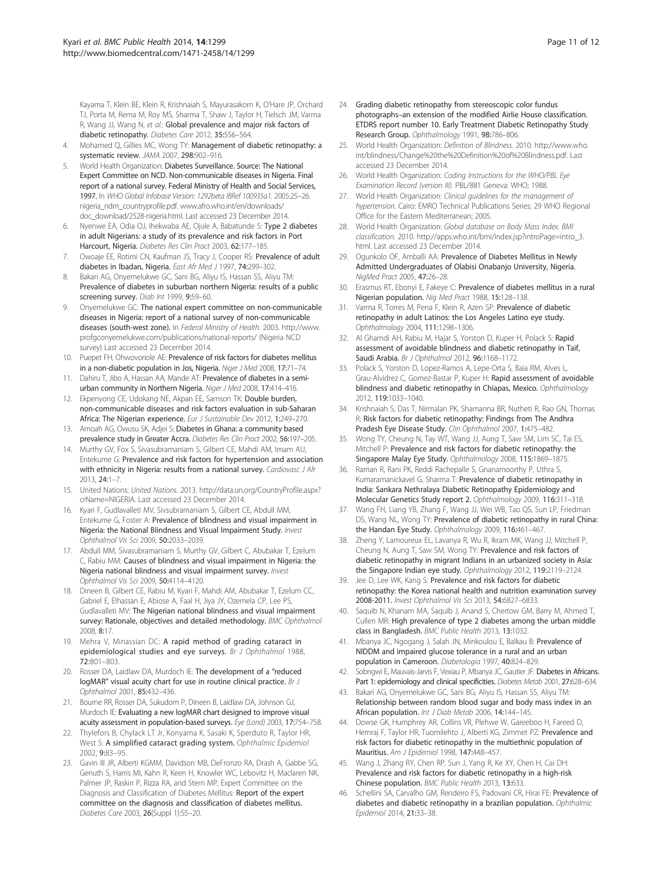<span id="page-10-0"></span>Kayama T, Klein BE, Klein R, Krishnaiah S, Mayurasakorn K, O'Hare JP, Orchard TJ, Porta M, Rema M, Roy MS, Sharma T, Shaw J, Taylor H, Tielsch JM, Varma R, Wang JJ, Wang N, et al.: Global prevalence and major risk factors of diabetic retinopathy. Diabetes Care 2012, 35:556–564.

- 4. Mohamed Q, Gillies MC, Wong TY: Management of diabetic retinopathy: a systematic review. JAMA 2007, 298:902–916.
- 5. World Health Organization: Diabetes Surveillance. Source: The National Expert Committee on NCD. Non-communicable diseases in Nigeria. Final report of a national survey. Federal Ministry of Health and Social Services, 1997. In WHO Global Infobase Version: 1292beta IBRef 100935a1. 2005:25–26. nigeria\_ndm\_countryprofile.pdf. [www.afro.who.int/en/downloads/](www.afro.who.int/en/downloads/doc_download/2528-nigeria.html) [doc\\_download/2528-nigeria.html.](www.afro.who.int/en/downloads/doc_download/2528-nigeria.html) Last accessed 23 December 2014.
- 6. Nyenwe EA, Odia OJ, Ihekwaba AE, Ojule A, Babatunde S: Type 2 diabetes in adult Nigerians: a study of its prevalence and risk factors in Port Harcourt, Nigeria. Diabetes Res Clin Pract 2003, 62:177–185.
- 7. Owoaje EE, Rotimi CN, Kaufman JS, Tracy J, Cooper RS: Prevalence of adult diabetes in Ibadan, Nigeria. East Afr Med J 1997, 74:299–302.
- Bakari AG, Onyemelukwe GC, Sani BG, Aliyu IS, Hassan SS, Aliyu TM: Prevalence of diabetes in suburban northern Nigeria: results of a public screening survey. Diab Int 1999, 9:59-60.
- 9. Onyemelukwe GC: The national expert committee on non-communicable diseases in Nigeria: report of a national survey of non-communicable diseases (south-west zone). In Federal Ministry of Health. 2003. [http://www.](http://www.profgconyemelukwe.com/publications/national-reports/) [profgconyemelukwe.com/publications/national-reports/](http://www.profgconyemelukwe.com/publications/national-reports/) (Nigeria NCD survey) Last accessed 23 December 2014.
- 10. Puepet FH, Ohwovoriole AE: Prevalence of risk factors for diabetes mellitus in a non-diabetic population in Jos, Nigeria. Niger J Med 2008, 17:71–74.
- 11. Dahiru T, Jibo A, Hassan AA, Mande AT: Prevalence of diabetes in a semiurban community in Northern Nigeria. Niger J Med 2008, 17:414–416.
- 12. Ekpenyong CE, Udokang NE, Akpan EE, Samson TK: Double burden, non-communicable diseases and risk factors evaluation in sub-Saharan Africa: The Nigerian experience. Eur J Sustainable Dev 2012, 1:249–270.
- 13. Amoah AG, Owusu SK, Adjei S: Diabetes in Ghana: a community based prevalence study in Greater Accra. Diabetes Res Clin Pract 2002, 56:197–205.
- 14. Murthy GV, Fox S, Sivasubramaniam S, Gilbert CE, Mahdi AM, Imam AU, Entekume G: Prevalence and risk factors for hypertension and association with ethnicity in Nigeria: results from a national survey. Cardiovasc J Afr 2013, 24:1–7.
- 15. United Nations: United Nations. 2013. [http://data.un.org/CountryProfile.aspx?](http://data.un.org/CountryProfile.aspx?crName=NIGERIA) [crName=NIGERIA.](http://data.un.org/CountryProfile.aspx?crName=NIGERIA) Last accessed 23 December 2014.
- 16. Kyari F, Gudlavalleti MV, Sivsubramaniam S, Gilbert CE, Abdull MM, Entekume G, Foster A: Prevalence of blindness and visual impairment in Nigeria: the National Blindness and Visual Impairment Study. Invest Ophthalmol Vis Sci 2009, 50:2033–2039.
- 17. Abdull MM, Sivasubramaniam S, Murthy GV, Gilbert C, Abubakar T, Ezelum C, Rabiu MM: Causes of blindness and visual impairment in Nigeria: the Nigeria national blindness and visual impairment survey. Invest Ophthalmol Vis Sci 2009, 50:4114–4120.
- 18. Dineen B, Gilbert CE, Rabiu M, Kyari F, Mahdi AM, Abubakar T, Ezelum CC, Gabriel E, Elhassan E, Abiose A, Faal H, Jiya JY, Ozemela CP, Lee PS, Gudlavalleti MV: The Nigerian national blindness and visual impairment survey: Rationale, objectives and detailed methodology. BMC Ophthalmol 2008, 8:17.
- 19. Mehra V, Minassian DC: A rapid method of grading cataract in epidemiological studies and eye surveys. Br J Ophthalmol 1988, 72:801–803.
- 20. Rosser DA, Laidlaw DA, Murdoch IE: The development of a "reduced logMAR" visual acuity chart for use in routine clinical practice. Br J Ophthalmol 2001, 85:432–436.
- 21. Bourne RR, Rosser DA, Sukudom P, Dineen B, Laidlaw DA, Johnson GJ, Murdoch IE: Evaluating a new logMAR chart designed to improve visual acuity assessment in population-based surveys. Eye (Lond) 2003, 17:754-758.
- 22. Thylefors B, Chylack LT Jr, Konyama K, Sasaki K, Sperduto R, Taylor HR, West S: A simplified cataract grading system. Ophthalmic Epidemiol 2002, 9:83–95.
- 23. Gavin III JR, Alberti KGMM, Davidson MB, DeFronzo RA, Drash A, Gabbe SG, Genuth S, Harris MI, Kahn R, Keen H, Knowler WC, Lebovitz H, Maclaren NK, Palmer JP, Raskin P, Rizza RA, and Stern MP, Expert Committee on the Diagnosis and Classification of Diabetes Mellitus: Report of the expert committee on the diagnosis and classification of diabetes mellitus. Diabetes Care 2003, 26(Suppl 1):S5–20.
- 24. Grading diabetic retinopathy from stereoscopic color fundus photographs–an extension of the modified Airlie House classification. ETDRS report number 10. Early Treatment Diabetic Retinopathy Study Research Group. Ophthalmology 1991, 98:786–806.
- 25. World Health Organization: Definition of Blindness. 2010. [http://www.who.](http://www.who.int/blindness/Change%20the%20Definition%20of%20Blindness.pdf) [int/blindness/Change%20the%20Definition%20of%20Blindness.pdf](http://www.who.int/blindness/Change%20the%20Definition%20of%20Blindness.pdf). Last accessed 23 December 2014.
- 26. World Health Organization: Coding Instructions for the WHO/PBL Eye Examination Record (version III). PBL/881 Geneva: WHO; 1988.
- 27. World Health Organization: Clinical guidelines for the management of hypertension. Cairo: EMRO Technical Publications Series; 29 WHO Regional Office for the Eastern Mediterranean; 2005.
- 28. World Health Organization: Global database on Body Mass Index. BMI classification. 2010. [http://apps.who.int/bmi/index.jsp?introPage=intro\\_3.](http://apps.who.int/bmi/index.jsp?introPage=intro_3.html) [html.](http://apps.who.int/bmi/index.jsp?introPage=intro_3.html) Last accessed 23 December 2014.
- 29. Ogunkolo OF, Amballi AA: Prevalence of Diabetes Mellitus in Newly Admitted Undergraduates of Olabisi Onabanjo University, Nigeria. NigMed Pract 2005, 47:26–28.
- 30. Erasmus RT, Ebonyi E, Fakeye C: Prevalence of diabetes mellitus in a rural Nigerian population. Nig Med Pract 1988, 15:128–138.
- 31. Varma R, Torres M, Pena F, Klein R, Azen SP: Prevalence of diabetic retinopathy in adult Latinos: the Los Angeles Latino eye study. Ophthalmology 2004, 111:1298–1306.
- 32. Al Ghamdi AH, Rabiu M, Hajar S, Yorston D, Kuper H, Polack S: Rapid assessment of avoidable blindness and diabetic retinopathy in Taif, Saudi Arabia. Br J Ophthalmol 2012, 96:1168–1172.
- 33. Polack S, Yorston D, Lopez-Ramos A, Lepe-Orta S, Baia RM, Alves L, Grau-Alvidrez C, Gomez-Bastar P, Kuper H: Rapid assessment of avoidable blindness and diabetic retinopathy in Chiapas, Mexico. Ophthalmology 2012, 119:1033–1040.
- 34. Krishnaiah S, Das T, Nirmalan PK, Shamanna BR, Nutheti R, Rao GN, Thomas R: Risk factors for diabetic retinopathy: Findings from The Andhra Pradesh Eye Disease Study. Clin Ophthalmol 2007, 1:475–482.
- 35. Wong TY, Cheung N, Tay WT, Wang JJ, Aung T, Saw SM, Lim SC, Tai ES, Mitchell P: Prevalence and risk factors for diabetic retinopathy: the Singapore Malay Eye Study. Ophthalmology 2008, 115:1869–1875.
- 36. Raman R, Rani PK, Reddi Rachepalle S, Gnanamoorthy P, Uthra S, Kumaramanickavel G, Sharma T: Prevalence of diabetic retinopathy in India: Sankara Nethralaya Diabetic Retinopathy Epidemiology and Molecular Genetics Study report 2. Ophthalmology 2009, 116:311–318.
- 37. Wang FH, Liang YB, Zhang F, Wang JJ, Wei WB, Tao QS, Sun LP, Friedman DS, Wang NL, Wong TY: Prevalence of diabetic retinopathy in rural China: the Handan Eye Study. Ophthalmology 2009, 116:461-467
- 38. Zheng Y, Lamoureux EL, Lavanya R, Wu R, Ikram MK, Wang JJ, Mitchell P, Cheung N, Aung T, Saw SM, Wong TY: Prevalence and risk factors of diabetic retinopathy in migrant Indians in an urbanized society in Asia: the Singapore Indian eye study. Ophthalmology 2012, 119:2119–2124.
- 39. Jee D, Lee WK, Kang S: Prevalence and risk factors for diabetic retinopathy: the Korea national health and nutrition examination survey 2008-2011. Invest Ophthalmol Vis Sci 2013, 54:6827-6833.
- Saquib N, Khanam MA, Saquib J, Anand S, Chertow GM, Barry M, Ahmed T, Cullen MR: High prevalence of type 2 diabetes among the urban middle class in Bangladesh. BMC Public Health 2013, 13:1032.
- 41. Mbanya JC, Ngogang J, Salah JN, Minkoulou E, Balkau B: Prevalence of NIDDM and impaired glucose tolerance in a rural and an urban population in Cameroon. Diabetologia 1997, 40:824–829.
- 42. Sobngwi E, Mauvais-Jarvis F, Vexiau P, Mbanya JC, Gautier JF: Diabetes in Africans. Part 1: epidemiology and clinical specificities. Diabetes Metab 2001, 27:628-634.
- 43. Bakari AG, Onyemelukwe GC, Sani BG, Aliyu IS, Hassan SS, Aliyu TM: Relationship between random blood sugar and body mass index in an African population. Int J Diab Metab 2006, 14:144–145.
- 44. Dowse GK, Humphrey AR, Collins VR, Plehwe W, Gareeboo H, Fareed D, Hemraj F, Taylor HR, Tuomilehto J, Alberti KG, Zimmet PZ: Prevalence and risk factors for diabetic retinopathy in the multiethnic population of Mauritius. Am J Epidemiol 1998, 147:448–457.
- 45. Wang J, Zhang RY, Chen RP, Sun J, Yang R, Ke XY, Chen H, Cai DH: Prevalence and risk factors for diabetic retinopathy in a high-risk Chinese population. BMC Public Health 2013, 13:633.
- 46. Schellini SA, Carvalho GM, Rendeiro FS, Padovani CR, Hirai FE: Prevalence of diabetes and diabetic retinopathy in a brazilian population. Ophthalmic Epidemiol 2014, 21:33–38.